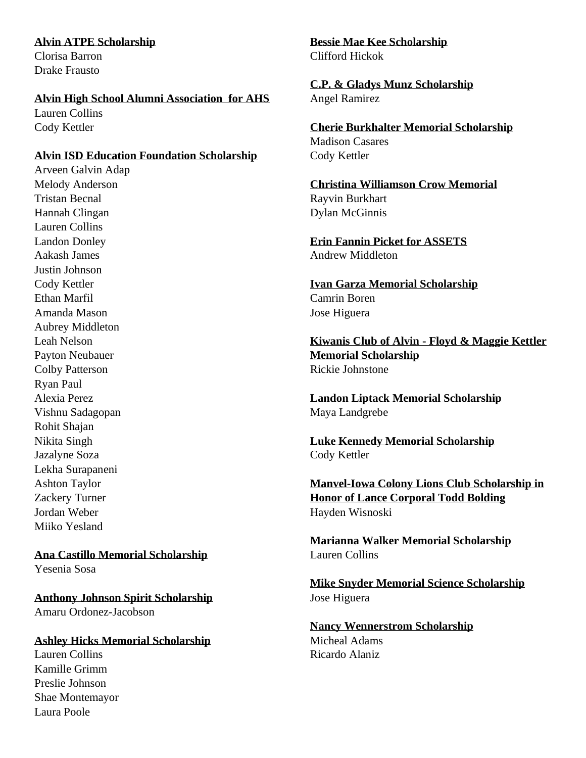#### **Alvin ATPE Scholarship** Clorisa Barron

Drake Frausto

#### **Alvin High School Alumni Association for AHS**

Lauren Collins Cody Kettler

#### **Alvin ISD Education Foundation Scholarship**

Arveen Galvin Adap Melody Anderson Tristan Becnal Hannah Clingan Lauren Collins Landon Donley Aakash James Justin Johnson Cody Kettler Ethan Marfil Amanda Mason Aubrey Middleton Leah Nelson Payton Neubauer Colby Patterson Ryan Paul Alexia Perez Vishnu Sadagopan Rohit Shajan Nikita Singh Jazalyne Soza Lekha Surapaneni Ashton Taylor Zackery Turner Jordan Weber Miiko Yesland

# **Ana Castillo Memorial Scholarship**

Yesenia Sosa

**Anthony Johnson Spirit Scholarship** Amaru Ordonez-Jacobson

#### **Ashley Hicks Memorial Scholarship**

Lauren Collins Kamille Grimm Preslie Johnson Shae Montemayor Laura Poole

**Bessie Mae Kee Scholarship** Clifford Hickok

**C.P. & Gladys Munz Scholarship** Angel Ramirez

**Cherie Burkhalter Memorial Scholarship** Madison Casares Cody Kettler

**Christina Williamson Crow Memorial**  Rayvin Burkhart Dylan McGinnis

**Erin Fannin Picket for ASSETS** Andrew Middleton

**Ivan Garza Memorial Scholarship** Camrin Boren Jose Higuera

**Kiwanis Club of Alvin - Floyd & Maggie Kettler Memorial Scholarship** Rickie Johnstone

**Landon Liptack Memorial Scholarship** Maya Landgrebe

**Luke Kennedy Memorial Scholarship** Cody Kettler

**Manvel-Iowa Colony Lions Club Scholarship in Honor of Lance Corporal Todd Bolding** Hayden Wisnoski

**Marianna Walker Memorial Scholarship** Lauren Collins

**Mike Snyder Memorial Science Scholarship** Jose Higuera

**Nancy Wennerstrom Scholarship** Micheal Adams Ricardo Alaniz